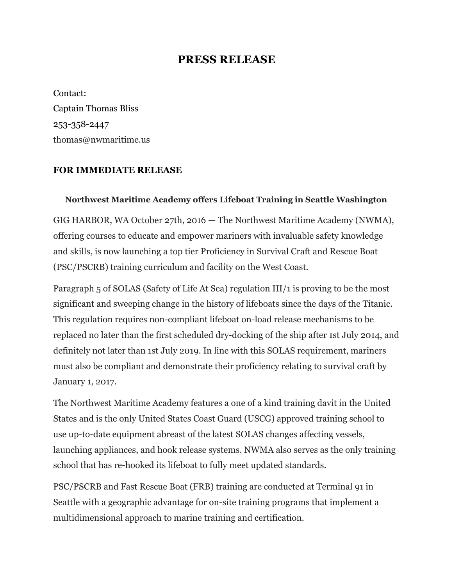## **PRESS RELEASE**

Contact: Captain Thomas Bliss 253-358-2447 thomas@nwmaritime.us

## **FOR IMMEDIATE RELEASE**

## **Northwest Maritime Academy offers Lifeboat Training in Seattle Washington**

GIG HARBOR, WA October 27th, 2016 — The Northwest Maritime Academy (NWMA), offering courses to educate and empower mariners with invaluable safety knowledge and skills, is now launching a top tier Proficiency in Survival Craft and Rescue Boat (PSC/PSCRB) training curriculum and facility on the West Coast.

Paragraph 5 of SOLAS (Safety of Life At Sea) regulation III/1 is proving to be the most significant and sweeping change in the history of lifeboats since the days of the Titanic. This regulation requires non-compliant lifeboat on-load release mechanisms to be replaced no later than the first scheduled dry-docking of the ship after 1st July 2014, and definitely not later than 1st July 2019. In line with this SOLAS requirement, mariners must also be compliant and demonstrate their proficiency relating to survival craft by January 1, 2017.

The Northwest Maritime Academy features a one of a kind training davit in the United States and is the only United States Coast Guard (USCG) approved training school to use up-to-date equipment abreast of the latest SOLAS changes affecting vessels, launching appliances, and hook release systems. NWMA also serves as the only training school that has re-hooked its lifeboat to fully meet updated standards.

PSC/PSCRB and Fast Rescue Boat (FRB) training are conducted at Terminal 91 in Seattle with a geographic advantage for on-site training programs that implement a multidimensional approach to marine training and certification.